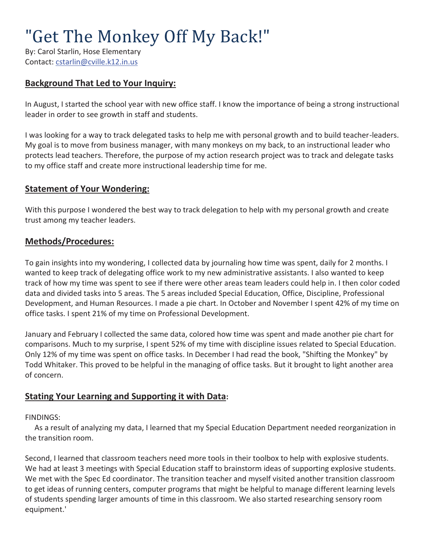# "Get The Monkey Off My Back!"

By: Carol Starlin, Hose Elementary Contact: cstarlin@cville.k12.in.us

# **Background That Led to Your Inquiry:**

In August, I started the school year with new office staff. I know the importance of being a strong instructional leader in order to see growth in staff and students.

I was looking for a way to track delegated tasks to help me with personal growth and to build teacher-leaders. My goal is to move from business manager, with many monkeys on my back, to an instructional leader who protects lead teachers. Therefore, the purpose of my action research project was to track and delegate tasks to my office staff and create more instructional leadership time for me.

## **Statement of Your Wondering:**

With this purpose I wondered the best way to track delegation to help with my personal growth and create trust among my teacher leaders.

#### **Methods/Procedures:**

To gain insights into my wondering, I collected data by journaling how time was spent, daily for 2 months. I wanted to keep track of delegating office work to my new administrative assistants. I also wanted to keep track of how my time was spent to see if there were other areas team leaders could help in. I then color coded data and divided tasks into 5 areas. The 5 areas included Special Education, Office, Discipline, Professional Development, and Human Resources. I made a pie chart. In October and November I spent 42% of my time on office tasks. I spent 21% of my time on Professional Development.

January and February I collected the same data, colored how time was spent and made another pie chart for comparisons. Much to my surprise, I spent 52% of my time with discipline issues related to Special Education. Only 12% of my time was spent on office tasks. In December I had read the book, "Shifting the Monkey" by Todd Whitaker. This proved to be helpful in the managing of office tasks. But it brought to light another area of concern.

## **Stating Your Learning and Supporting it with Data:**

FINDINGS:

 As a result of analyzing my data, I learned that my Special Education Department needed reorganization in the transition room.

Second, I learned that classroom teachers need more tools in their toolbox to help with explosive students. We had at least 3 meetings with Special Education staff to brainstorm ideas of supporting explosive students. We met with the Spec Ed coordinator. The transition teacher and myself visited another transition classroom to get ideas of running centers, computer programs that might be helpful to manage different learning levels of students spending larger amounts of time in this classroom. We also started researching sensory room equipment.'